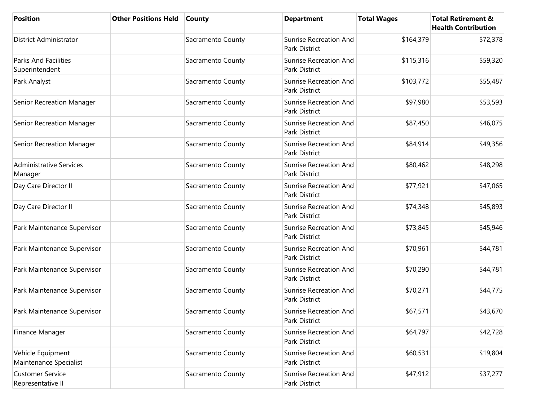| <b>Position</b>                               | <b>Other Positions Held</b> | <b>County</b>     | <b>Department</b>                                     | <b>Total Wages</b> | <b>Total Retirement &amp;</b><br><b>Health Contribution</b> |
|-----------------------------------------------|-----------------------------|-------------------|-------------------------------------------------------|--------------------|-------------------------------------------------------------|
| <b>District Administrator</b>                 |                             | Sacramento County | <b>Sunrise Recreation And</b><br>Park District        | \$164,379          | \$72,378                                                    |
| <b>Parks And Facilities</b><br>Superintendent |                             | Sacramento County | <b>Sunrise Recreation And</b><br>Park District        | \$115,316          | \$59,320                                                    |
| Park Analyst                                  |                             | Sacramento County | <b>Sunrise Recreation And</b><br>Park District        | \$103,772          | \$55,487                                                    |
| Senior Recreation Manager                     |                             | Sacramento County | <b>Sunrise Recreation And</b><br>Park District        | \$97,980           | \$53,593                                                    |
| Senior Recreation Manager                     |                             | Sacramento County | <b>Sunrise Recreation And</b><br>Park District        | \$87,450           | \$46,075                                                    |
| Senior Recreation Manager                     |                             | Sacramento County | Sunrise Recreation And<br>Park District               | \$84,914           | \$49,356                                                    |
| <b>Administrative Services</b><br>Manager     |                             | Sacramento County | <b>Sunrise Recreation And</b><br>Park District        | \$80,462           | \$48,298                                                    |
| Day Care Director II                          |                             | Sacramento County | <b>Sunrise Recreation And</b><br>Park District        | \$77,921           | \$47,065                                                    |
| Day Care Director II                          |                             | Sacramento County | <b>Sunrise Recreation And</b><br>Park District        | \$74,348           | \$45,893                                                    |
| Park Maintenance Supervisor                   |                             | Sacramento County | <b>Sunrise Recreation And</b><br>Park District        | \$73,845           | \$45,946                                                    |
| Park Maintenance Supervisor                   |                             | Sacramento County | <b>Sunrise Recreation And</b><br>Park District        | \$70,961           | \$44,781                                                    |
| Park Maintenance Supervisor                   |                             | Sacramento County | <b>Sunrise Recreation And</b><br>Park District        | \$70,290           | \$44,781                                                    |
| Park Maintenance Supervisor                   |                             | Sacramento County | <b>Sunrise Recreation And</b><br>Park District        | \$70,271           | \$44,775                                                    |
| Park Maintenance Supervisor                   |                             | Sacramento County | <b>Sunrise Recreation And</b><br>Park District        | \$67,571           | \$43,670                                                    |
| Finance Manager                               |                             | Sacramento County | <b>Sunrise Recreation And</b><br><b>Park District</b> | \$64,797           | \$42,728                                                    |
| Vehicle Equipment<br>Maintenance Specialist   |                             | Sacramento County | <b>Sunrise Recreation And</b><br><b>Park District</b> | \$60,531           | \$19,804                                                    |
| <b>Customer Service</b><br>Representative II  |                             | Sacramento County | <b>Sunrise Recreation And</b><br>Park District        | \$47,912           | \$37,277                                                    |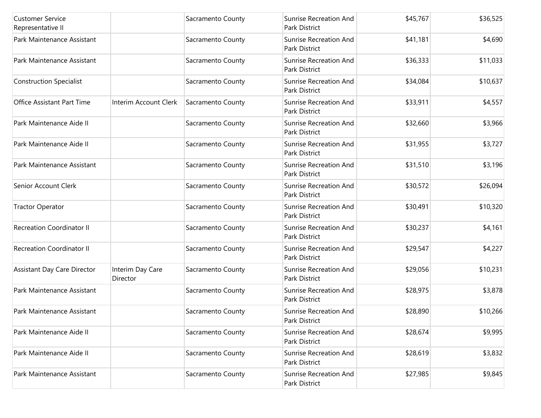| <b>Customer Service</b><br>Representative II |                              | Sacramento County | <b>Sunrise Recreation And</b><br>Park District        | \$45,767 | \$36,525 |
|----------------------------------------------|------------------------------|-------------------|-------------------------------------------------------|----------|----------|
| Park Maintenance Assistant                   |                              | Sacramento County | <b>Sunrise Recreation And</b><br>Park District        | \$41,181 | \$4,690  |
| Park Maintenance Assistant                   |                              | Sacramento County | <b>Sunrise Recreation And</b><br>Park District        | \$36,333 | \$11,033 |
| <b>Construction Specialist</b>               |                              | Sacramento County | <b>Sunrise Recreation And</b><br>Park District        | \$34,084 | \$10,637 |
| Office Assistant Part Time                   | Interim Account Clerk        | Sacramento County | <b>Sunrise Recreation And</b><br>Park District        | \$33,911 | \$4,557  |
| Park Maintenance Aide II                     |                              | Sacramento County | <b>Sunrise Recreation And</b><br><b>Park District</b> | \$32,660 | \$3,966  |
| Park Maintenance Aide II                     |                              | Sacramento County | <b>Sunrise Recreation And</b><br>Park District        | \$31,955 | \$3,727  |
| Park Maintenance Assistant                   |                              | Sacramento County | <b>Sunrise Recreation And</b><br>Park District        | \$31,510 | \$3,196  |
| Senior Account Clerk                         |                              | Sacramento County | <b>Sunrise Recreation And</b><br>Park District        | \$30,572 | \$26,094 |
| <b>Tractor Operator</b>                      |                              | Sacramento County | <b>Sunrise Recreation And</b><br>Park District        | \$30,491 | \$10,320 |
| <b>Recreation Coordinator II</b>             |                              | Sacramento County | <b>Sunrise Recreation And</b><br>Park District        | \$30,237 | \$4,161  |
| <b>Recreation Coordinator II</b>             |                              | Sacramento County | <b>Sunrise Recreation And</b><br>Park District        | \$29,547 | \$4,227  |
| Assistant Day Care Director                  | Interim Day Care<br>Director | Sacramento County | <b>Sunrise Recreation And</b><br><b>Park District</b> | \$29,056 | \$10,231 |
| Park Maintenance Assistant                   |                              | Sacramento County | <b>Sunrise Recreation And</b><br>Park District        | \$28,975 | \$3,878  |
| Park Maintenance Assistant                   |                              | Sacramento County | <b>Sunrise Recreation And</b><br>Park District        | \$28,890 | \$10,266 |
| Park Maintenance Aide II                     |                              | Sacramento County | <b>Sunrise Recreation And</b><br>Park District        | \$28,674 | \$9,995  |
| Park Maintenance Aide II                     |                              | Sacramento County | <b>Sunrise Recreation And</b><br>Park District        | \$28,619 | \$3,832  |
| Park Maintenance Assistant                   |                              | Sacramento County | Sunrise Recreation And<br>Park District               | \$27,985 | \$9,845  |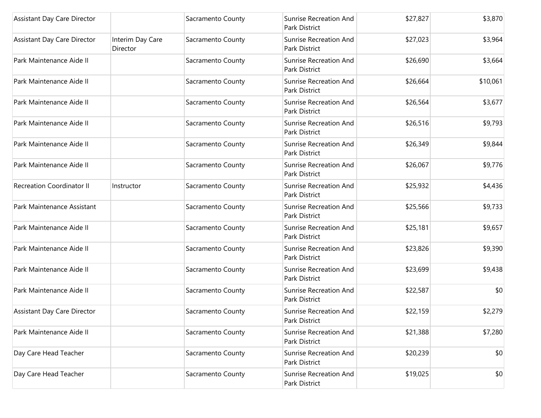| Assistant Day Care Director        |                              | Sacramento County | <b>Sunrise Recreation And</b><br>Park District | \$27,827 | \$3,870  |
|------------------------------------|------------------------------|-------------------|------------------------------------------------|----------|----------|
| <b>Assistant Day Care Director</b> | Interim Day Care<br>Director | Sacramento County | <b>Sunrise Recreation And</b><br>Park District | \$27,023 | \$3,964  |
| Park Maintenance Aide II           |                              | Sacramento County | <b>Sunrise Recreation And</b><br>Park District | \$26,690 | \$3,664  |
| Park Maintenance Aide II           |                              | Sacramento County | <b>Sunrise Recreation And</b><br>Park District | \$26,664 | \$10,061 |
| Park Maintenance Aide II           |                              | Sacramento County | <b>Sunrise Recreation And</b><br>Park District | \$26,564 | \$3,677  |
| Park Maintenance Aide II           |                              | Sacramento County | <b>Sunrise Recreation And</b><br>Park District | \$26,516 | \$9,793  |
| Park Maintenance Aide II           |                              | Sacramento County | <b>Sunrise Recreation And</b><br>Park District | \$26,349 | \$9,844  |
| Park Maintenance Aide II           |                              | Sacramento County | <b>Sunrise Recreation And</b><br>Park District | \$26,067 | \$9,776  |
| <b>Recreation Coordinator II</b>   | Instructor                   | Sacramento County | <b>Sunrise Recreation And</b><br>Park District | \$25,932 | \$4,436  |
| Park Maintenance Assistant         |                              | Sacramento County | <b>Sunrise Recreation And</b><br>Park District | \$25,566 | \$9,733  |
| Park Maintenance Aide II           |                              | Sacramento County | <b>Sunrise Recreation And</b><br>Park District | \$25,181 | \$9,657  |
| Park Maintenance Aide II           |                              | Sacramento County | <b>Sunrise Recreation And</b><br>Park District | \$23,826 | \$9,390  |
| Park Maintenance Aide II           |                              | Sacramento County | <b>Sunrise Recreation And</b><br>Park District | \$23,699 | \$9,438  |
| Park Maintenance Aide II           |                              | Sacramento County | <b>Sunrise Recreation And</b><br>Park District | \$22,587 | \$0      |
| Assistant Day Care Director        |                              | Sacramento County | <b>Sunrise Recreation And</b><br>Park District | \$22,159 | \$2,279  |
| Park Maintenance Aide II           |                              | Sacramento County | <b>Sunrise Recreation And</b><br>Park District | \$21,388 | \$7,280  |
| Day Care Head Teacher              |                              | Sacramento County | <b>Sunrise Recreation And</b><br>Park District | \$20,239 | \$0      |
| Day Care Head Teacher              |                              | Sacramento County | <b>Sunrise Recreation And</b><br>Park District | \$19,025 | \$0      |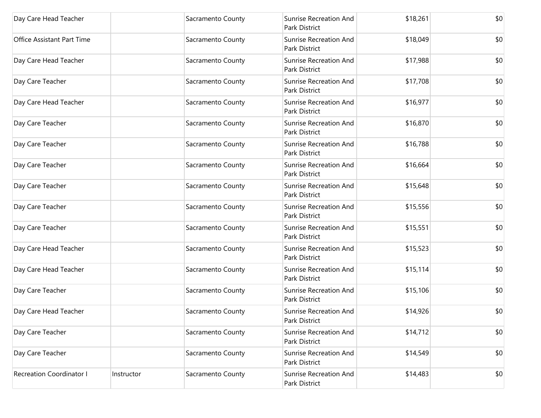| Day Care Head Teacher           |            | Sacramento County | <b>Sunrise Recreation And</b><br>Park District        | \$18,261 | \$0 |
|---------------------------------|------------|-------------------|-------------------------------------------------------|----------|-----|
| Office Assistant Part Time      |            | Sacramento County | <b>Sunrise Recreation And</b><br>Park District        | \$18,049 | \$0 |
| Day Care Head Teacher           |            | Sacramento County | <b>Sunrise Recreation And</b><br>Park District        | \$17,988 | \$0 |
| Day Care Teacher                |            | Sacramento County | <b>Sunrise Recreation And</b><br><b>Park District</b> | \$17,708 | \$0 |
| Day Care Head Teacher           |            | Sacramento County | <b>Sunrise Recreation And</b><br>Park District        | \$16,977 | \$0 |
| Day Care Teacher                |            | Sacramento County | <b>Sunrise Recreation And</b><br>Park District        | \$16,870 | \$0 |
| Day Care Teacher                |            | Sacramento County | <b>Sunrise Recreation And</b><br>Park District        | \$16,788 | \$0 |
| Day Care Teacher                |            | Sacramento County | <b>Sunrise Recreation And</b><br>Park District        | \$16,664 | \$0 |
| Day Care Teacher                |            | Sacramento County | <b>Sunrise Recreation And</b><br>Park District        | \$15,648 | \$0 |
| Day Care Teacher                |            | Sacramento County | <b>Sunrise Recreation And</b><br>Park District        | \$15,556 | \$0 |
| Day Care Teacher                |            | Sacramento County | <b>Sunrise Recreation And</b><br>Park District        | \$15,551 | \$0 |
| Day Care Head Teacher           |            | Sacramento County | <b>Sunrise Recreation And</b><br>Park District        | \$15,523 | \$0 |
| Day Care Head Teacher           |            | Sacramento County | <b>Sunrise Recreation And</b><br>Park District        | \$15,114 | \$0 |
| Day Care Teacher                |            | Sacramento County | <b>Sunrise Recreation And</b><br>Park District        | \$15,106 | \$0 |
| Day Care Head Teacher           |            | Sacramento County | <b>Sunrise Recreation And</b><br>Park District        | \$14,926 | \$0 |
| Day Care Teacher                |            | Sacramento County | <b>Sunrise Recreation And</b><br>Park District        | \$14,712 | \$0 |
| Day Care Teacher                |            | Sacramento County | <b>Sunrise Recreation And</b><br>Park District        | \$14,549 | \$0 |
| <b>Recreation Coordinator I</b> | Instructor | Sacramento County | Sunrise Recreation And<br>Park District               | \$14,483 | \$0 |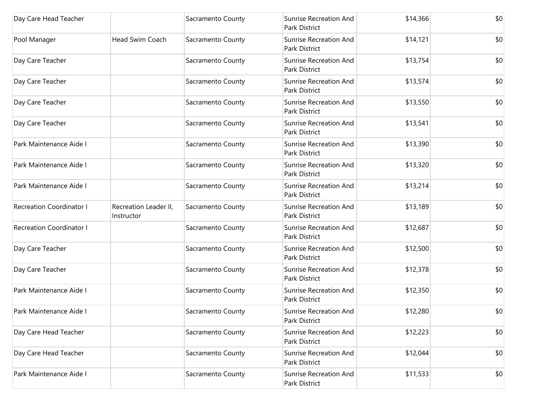| Day Care Head Teacher           |                                     | Sacramento County | <b>Sunrise Recreation And</b><br>Park District | \$14,366 | \$0 |
|---------------------------------|-------------------------------------|-------------------|------------------------------------------------|----------|-----|
| Pool Manager                    | Head Swim Coach                     | Sacramento County | Sunrise Recreation And<br>Park District        | \$14,121 | \$0 |
| Day Care Teacher                |                                     | Sacramento County | <b>Sunrise Recreation And</b><br>Park District | \$13,754 | \$0 |
| Day Care Teacher                |                                     | Sacramento County | <b>Sunrise Recreation And</b><br>Park District | \$13,574 | \$0 |
| Day Care Teacher                |                                     | Sacramento County | <b>Sunrise Recreation And</b><br>Park District | \$13,550 | \$0 |
| Day Care Teacher                |                                     | Sacramento County | <b>Sunrise Recreation And</b><br>Park District | \$13,541 | \$0 |
| Park Maintenance Aide I         |                                     | Sacramento County | Sunrise Recreation And<br>Park District        | \$13,390 | \$0 |
| Park Maintenance Aide I         |                                     | Sacramento County | <b>Sunrise Recreation And</b><br>Park District | \$13,320 | \$0 |
| Park Maintenance Aide I         |                                     | Sacramento County | Sunrise Recreation And<br>Park District        | \$13,214 | \$0 |
| <b>Recreation Coordinator I</b> | Recreation Leader II,<br>Instructor | Sacramento County | <b>Sunrise Recreation And</b><br>Park District | \$13,189 | \$0 |
| <b>Recreation Coordinator I</b> |                                     | Sacramento County | <b>Sunrise Recreation And</b><br>Park District | \$12,687 | \$0 |
| Day Care Teacher                |                                     | Sacramento County | Sunrise Recreation And<br>Park District        | \$12,500 | \$0 |
| Day Care Teacher                |                                     | Sacramento County | Sunrise Recreation And<br>Park District        | \$12,378 | \$0 |
| Park Maintenance Aide I         |                                     | Sacramento County | Sunrise Recreation And<br>Park District        | \$12,350 | \$0 |
| Park Maintenance Aide I         |                                     | Sacramento County | <b>Sunrise Recreation And</b><br>Park District | \$12,280 | \$0 |
| Day Care Head Teacher           |                                     | Sacramento County | Sunrise Recreation And<br>Park District        | \$12,223 | \$0 |
| Day Care Head Teacher           |                                     | Sacramento County | <b>Sunrise Recreation And</b><br>Park District | \$12,044 | \$0 |
| Park Maintenance Aide I         |                                     | Sacramento County | <b>Sunrise Recreation And</b><br>Park District | \$11,533 | \$0 |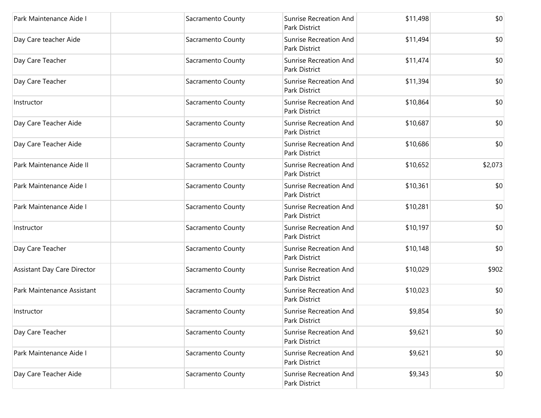| Park Maintenance Aide I     | Sacramento County | Sunrise Recreation And<br>Park District        | \$11,498 | \$0     |
|-----------------------------|-------------------|------------------------------------------------|----------|---------|
| Day Care teacher Aide       | Sacramento County | <b>Sunrise Recreation And</b><br>Park District | \$11,494 | \$0     |
| Day Care Teacher            | Sacramento County | Sunrise Recreation And<br>Park District        | \$11,474 | \$0     |
| Day Care Teacher            | Sacramento County | Sunrise Recreation And<br>Park District        | \$11,394 | \$0     |
| Instructor                  | Sacramento County | <b>Sunrise Recreation And</b><br>Park District | \$10,864 | \$0     |
| Day Care Teacher Aide       | Sacramento County | Sunrise Recreation And<br>Park District        | \$10,687 | \$0     |
| Day Care Teacher Aide       | Sacramento County | Sunrise Recreation And<br>Park District        | \$10,686 | \$0     |
| Park Maintenance Aide II    | Sacramento County | Sunrise Recreation And<br>Park District        | \$10,652 | \$2,073 |
| Park Maintenance Aide I     | Sacramento County | <b>Sunrise Recreation And</b><br>Park District | \$10,361 | \$0     |
| Park Maintenance Aide I     | Sacramento County | <b>Sunrise Recreation And</b><br>Park District | \$10,281 | \$0     |
| Instructor                  | Sacramento County | Sunrise Recreation And<br>Park District        | \$10,197 | \$0     |
| Day Care Teacher            | Sacramento County | <b>Sunrise Recreation And</b><br>Park District | \$10,148 | \$0     |
| Assistant Day Care Director | Sacramento County | Sunrise Recreation And<br>Park District        | \$10,029 | \$902   |
| Park Maintenance Assistant  | Sacramento County | Sunrise Recreation And<br>Park District        | \$10,023 | \$0     |
| Instructor                  | Sacramento County | Sunrise Recreation And<br>Park District        | \$9,854  | \$0     |
| Day Care Teacher            | Sacramento County | Sunrise Recreation And<br>Park District        | \$9,621  | \$0     |
| Park Maintenance Aide I     | Sacramento County | Sunrise Recreation And<br>Park District        | \$9,621  | \$0     |
| Day Care Teacher Aide       | Sacramento County | <b>Sunrise Recreation And</b><br>Park District | \$9,343  | \$0     |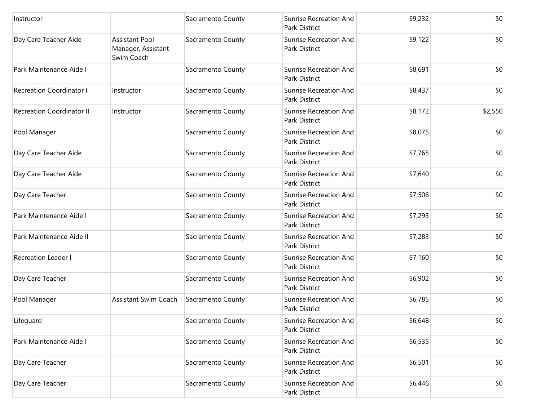| Instructor                       |                                                           | Sacramento County | <b>Sunrise Recreation And</b><br>Park District        | \$9,232 | \$0     |
|----------------------------------|-----------------------------------------------------------|-------------------|-------------------------------------------------------|---------|---------|
| Day Care Teacher Aide            | <b>Assistant Pool</b><br>Manager, Assistant<br>Swim Coach | Sacramento County | <b>Sunrise Recreation And</b><br>Park District        | \$9,122 | \$0     |
| Park Maintenance Aide I          |                                                           | Sacramento County | <b>Sunrise Recreation And</b><br><b>Park District</b> | \$8,691 | \$0     |
| <b>Recreation Coordinator I</b>  | Instructor                                                | Sacramento County | <b>Sunrise Recreation And</b><br>Park District        | \$8,437 | \$0     |
| <b>Recreation Coordinator II</b> | Instructor                                                | Sacramento County | <b>Sunrise Recreation And</b><br>Park District        | \$8,172 | \$2,550 |
| Pool Manager                     |                                                           | Sacramento County | <b>Sunrise Recreation And</b><br>Park District        | \$8,075 | \$0     |
| Day Care Teacher Aide            |                                                           | Sacramento County | <b>Sunrise Recreation And</b><br>Park District        | \$7,765 | \$0     |
| Day Care Teacher Aide            |                                                           | Sacramento County | <b>Sunrise Recreation And</b><br>Park District        | \$7,640 | \$0     |
| Day Care Teacher                 |                                                           | Sacramento County | <b>Sunrise Recreation And</b><br>Park District        | \$7,506 | \$0     |
| Park Maintenance Aide I          |                                                           | Sacramento County | <b>Sunrise Recreation And</b><br>Park District        | \$7,293 | \$0     |
| Park Maintenance Aide II         |                                                           | Sacramento County | <b>Sunrise Recreation And</b><br>Park District        | \$7,283 | \$0     |
| <b>Recreation Leader I</b>       |                                                           | Sacramento County | <b>Sunrise Recreation And</b><br><b>Park District</b> | \$7,160 | \$0     |
| Day Care Teacher                 |                                                           | Sacramento County | <b>Sunrise Recreation And</b><br>Park District        | \$6,902 | \$0     |
| Pool Manager                     | <b>Assistant Swim Coach</b>                               | Sacramento County | <b>Sunrise Recreation And</b><br>Park District        | \$6,785 | \$0     |
| Lifeguard                        |                                                           | Sacramento County | <b>Sunrise Recreation And</b><br>Park District        | \$6,648 | \$0     |
| Park Maintenance Aide I          |                                                           | Sacramento County | <b>Sunrise Recreation And</b><br>Park District        | \$6,535 | \$0     |
| Day Care Teacher                 |                                                           | Sacramento County | <b>Sunrise Recreation And</b><br><b>Park District</b> | \$6,501 | \$0     |
| Day Care Teacher                 |                                                           | Sacramento County | <b>Sunrise Recreation And</b><br>Park District        | \$6,446 | \$0     |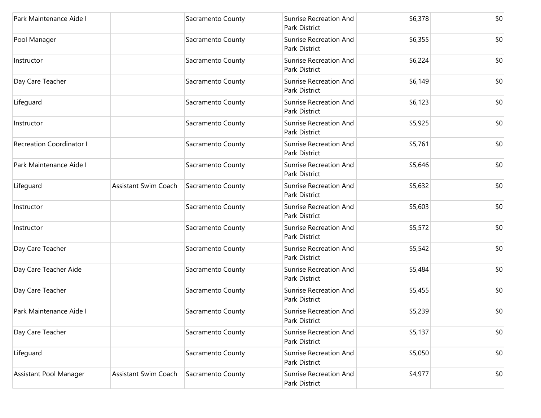| Park Maintenance Aide I         |                             | Sacramento County | <b>Sunrise Recreation And</b><br>Park District | \$6,378 | \$0 |
|---------------------------------|-----------------------------|-------------------|------------------------------------------------|---------|-----|
| Pool Manager                    |                             | Sacramento County | <b>Sunrise Recreation And</b><br>Park District | \$6,355 | \$0 |
| Instructor                      |                             | Sacramento County | <b>Sunrise Recreation And</b><br>Park District | \$6,224 | \$0 |
| Day Care Teacher                |                             | Sacramento County | <b>Sunrise Recreation And</b><br>Park District | \$6,149 | \$0 |
| Lifeguard                       |                             | Sacramento County | <b>Sunrise Recreation And</b><br>Park District | \$6,123 | \$0 |
| Instructor                      |                             | Sacramento County | <b>Sunrise Recreation And</b><br>Park District | \$5,925 | \$0 |
| <b>Recreation Coordinator I</b> |                             | Sacramento County | <b>Sunrise Recreation And</b><br>Park District | \$5,761 | \$0 |
| Park Maintenance Aide I         |                             | Sacramento County | <b>Sunrise Recreation And</b><br>Park District | \$5,646 | \$0 |
| Lifeguard                       | <b>Assistant Swim Coach</b> | Sacramento County | <b>Sunrise Recreation And</b><br>Park District | \$5,632 | \$0 |
| Instructor                      |                             | Sacramento County | <b>Sunrise Recreation And</b><br>Park District | \$5,603 | \$0 |
| Instructor                      |                             | Sacramento County | <b>Sunrise Recreation And</b><br>Park District | \$5,572 | \$0 |
| Day Care Teacher                |                             | Sacramento County | <b>Sunrise Recreation And</b><br>Park District | \$5,542 | \$0 |
| Day Care Teacher Aide           |                             | Sacramento County | <b>Sunrise Recreation And</b><br>Park District | \$5,484 | \$0 |
| Day Care Teacher                |                             | Sacramento County | <b>Sunrise Recreation And</b><br>Park District | \$5,455 | \$0 |
| Park Maintenance Aide I         |                             | Sacramento County | <b>Sunrise Recreation And</b><br>Park District | \$5,239 | \$0 |
| Day Care Teacher                |                             | Sacramento County | Sunrise Recreation And<br>Park District        | \$5,137 | \$0 |
| Lifeguard                       |                             | Sacramento County | <b>Sunrise Recreation And</b><br>Park District | \$5,050 | \$0 |
| Assistant Pool Manager          | Assistant Swim Coach        | Sacramento County | Sunrise Recreation And<br>Park District        | \$4,977 | \$0 |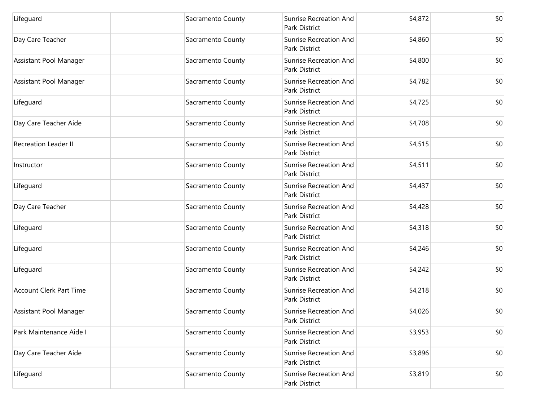| Lifeguard                      | Sacramento County | <b>Sunrise Recreation And</b><br>Park District        | \$4,872 | \$0 |
|--------------------------------|-------------------|-------------------------------------------------------|---------|-----|
| Day Care Teacher               | Sacramento County | <b>Sunrise Recreation And</b><br>Park District        | \$4,860 | \$0 |
| Assistant Pool Manager         | Sacramento County | <b>Sunrise Recreation And</b><br><b>Park District</b> | \$4,800 | \$0 |
| Assistant Pool Manager         | Sacramento County | <b>Sunrise Recreation And</b><br>Park District        | \$4,782 | \$0 |
| Lifeguard                      | Sacramento County | <b>Sunrise Recreation And</b><br>Park District        | \$4,725 | \$0 |
| Day Care Teacher Aide          | Sacramento County | <b>Sunrise Recreation And</b><br>Park District        | \$4,708 | \$0 |
| <b>Recreation Leader II</b>    | Sacramento County | Sunrise Recreation And<br>Park District               | \$4,515 | \$0 |
| Instructor                     | Sacramento County | <b>Sunrise Recreation And</b><br>Park District        | \$4,511 | \$0 |
| Lifeguard                      | Sacramento County | <b>Sunrise Recreation And</b><br>Park District        | \$4,437 | \$0 |
| Day Care Teacher               | Sacramento County | <b>Sunrise Recreation And</b><br>Park District        | \$4,428 | \$0 |
| Lifeguard                      | Sacramento County | <b>Sunrise Recreation And</b><br>Park District        | \$4,318 | \$0 |
| Lifeguard                      | Sacramento County | <b>Sunrise Recreation And</b><br>Park District        | \$4,246 | \$0 |
| Lifeguard                      | Sacramento County | <b>Sunrise Recreation And</b><br>Park District        | \$4,242 | \$0 |
| <b>Account Clerk Part Time</b> | Sacramento County | <b>Sunrise Recreation And</b><br>Park District        | \$4,218 | \$0 |
| Assistant Pool Manager         | Sacramento County | Sunrise Recreation And<br>Park District               | \$4,026 | \$0 |
| Park Maintenance Aide I        | Sacramento County | Sunrise Recreation And<br>Park District               | \$3,953 | \$0 |
| Day Care Teacher Aide          | Sacramento County | <b>Sunrise Recreation And</b><br>Park District        | \$3,896 | \$0 |
| Lifeguard                      | Sacramento County | <b>Sunrise Recreation And</b><br>Park District        | \$3,819 | \$0 |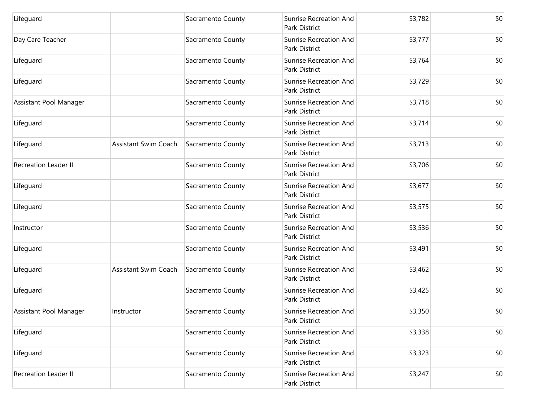| Lifeguard                   |                             | Sacramento County | <b>Sunrise Recreation And</b><br>Park District        | \$3,782 | \$0 |
|-----------------------------|-----------------------------|-------------------|-------------------------------------------------------|---------|-----|
| Day Care Teacher            |                             | Sacramento County | <b>Sunrise Recreation And</b><br>Park District        | \$3,777 | \$0 |
| Lifeguard                   |                             | Sacramento County | <b>Sunrise Recreation And</b><br><b>Park District</b> | \$3,764 | \$0 |
| Lifeguard                   |                             | Sacramento County | <b>Sunrise Recreation And</b><br>Park District        | \$3,729 | \$0 |
| Assistant Pool Manager      |                             | Sacramento County | <b>Sunrise Recreation And</b><br>Park District        | \$3,718 | \$0 |
| Lifeguard                   |                             | Sacramento County | <b>Sunrise Recreation And</b><br>Park District        | \$3,714 | \$0 |
| Lifeguard                   | <b>Assistant Swim Coach</b> | Sacramento County | <b>Sunrise Recreation And</b><br>Park District        | \$3,713 | \$0 |
| <b>Recreation Leader II</b> |                             | Sacramento County | <b>Sunrise Recreation And</b><br>Park District        | \$3,706 | \$0 |
| Lifeguard                   |                             | Sacramento County | <b>Sunrise Recreation And</b><br>Park District        | \$3,677 | \$0 |
| Lifeguard                   |                             | Sacramento County | <b>Sunrise Recreation And</b><br>Park District        | \$3,575 | \$0 |
| Instructor                  |                             | Sacramento County | <b>Sunrise Recreation And</b><br>Park District        | \$3,536 | \$0 |
| Lifeguard                   |                             | Sacramento County | <b>Sunrise Recreation And</b><br>Park District        | \$3,491 | \$0 |
| Lifeguard                   | <b>Assistant Swim Coach</b> | Sacramento County | <b>Sunrise Recreation And</b><br>Park District        | \$3,462 | \$0 |
| Lifeguard                   |                             | Sacramento County | <b>Sunrise Recreation And</b><br>Park District        | \$3,425 | \$0 |
| Assistant Pool Manager      | Instructor                  | Sacramento County | <b>Sunrise Recreation And</b><br>Park District        | \$3,350 | \$0 |
| Lifeguard                   |                             | Sacramento County | Sunrise Recreation And<br>Park District               | \$3,338 | \$0 |
| Lifeguard                   |                             | Sacramento County | <b>Sunrise Recreation And</b><br>Park District        | \$3,323 | \$0 |
| <b>Recreation Leader II</b> |                             | Sacramento County | <b>Sunrise Recreation And</b><br>Park District        | \$3,247 | \$0 |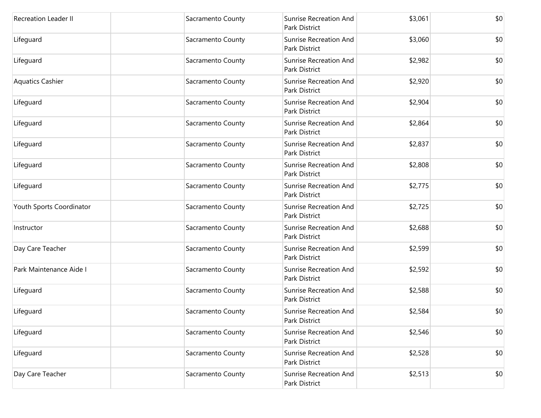| <b>Recreation Leader II</b> | Sacramento County | <b>Sunrise Recreation And</b><br>Park District | \$3,061 | \$0 |
|-----------------------------|-------------------|------------------------------------------------|---------|-----|
| Lifeguard                   | Sacramento County | <b>Sunrise Recreation And</b><br>Park District | \$3,060 | \$0 |
| Lifeguard                   | Sacramento County | <b>Sunrise Recreation And</b><br>Park District | \$2,982 | \$0 |
| <b>Aquatics Cashier</b>     | Sacramento County | <b>Sunrise Recreation And</b><br>Park District | \$2,920 | \$0 |
| Lifeguard                   | Sacramento County | <b>Sunrise Recreation And</b><br>Park District | \$2,904 | \$0 |
| Lifeguard                   | Sacramento County | <b>Sunrise Recreation And</b><br>Park District | \$2,864 | \$0 |
| Lifeguard                   | Sacramento County | <b>Sunrise Recreation And</b><br>Park District | \$2,837 | \$0 |
| Lifeguard                   | Sacramento County | <b>Sunrise Recreation And</b><br>Park District | \$2,808 | \$0 |
| Lifeguard                   | Sacramento County | <b>Sunrise Recreation And</b><br>Park District | \$2,775 | \$0 |
| Youth Sports Coordinator    | Sacramento County | <b>Sunrise Recreation And</b><br>Park District | \$2,725 | \$0 |
| Instructor                  | Sacramento County | <b>Sunrise Recreation And</b><br>Park District | \$2,688 | \$0 |
| Day Care Teacher            | Sacramento County | Sunrise Recreation And<br>Park District        | \$2,599 | \$0 |
| Park Maintenance Aide I     | Sacramento County | <b>Sunrise Recreation And</b><br>Park District | \$2,592 | \$0 |
| Lifeguard                   | Sacramento County | <b>Sunrise Recreation And</b><br>Park District | \$2,588 | \$0 |
| Lifeguard                   | Sacramento County | <b>Sunrise Recreation And</b><br>Park District | \$2,584 | \$0 |
| Lifeguard                   | Sacramento County | Sunrise Recreation And<br>Park District        | \$2,546 | \$0 |
| Lifeguard                   | Sacramento County | <b>Sunrise Recreation And</b><br>Park District | \$2,528 | \$0 |
| Day Care Teacher            | Sacramento County | Sunrise Recreation And<br>Park District        | \$2,513 | \$0 |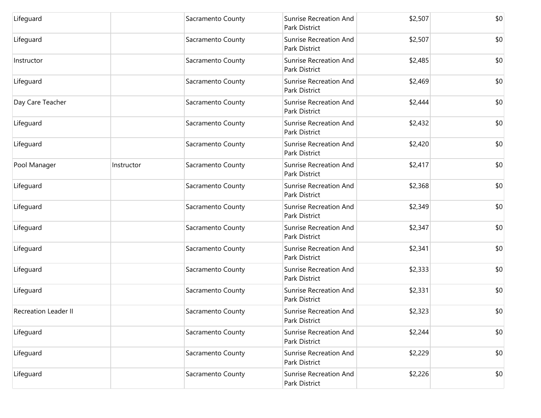| Lifeguard                   |            | Sacramento County | <b>Sunrise Recreation And</b><br>Park District | \$2,507 | \$0 |
|-----------------------------|------------|-------------------|------------------------------------------------|---------|-----|
| Lifeguard                   |            | Sacramento County | <b>Sunrise Recreation And</b><br>Park District | \$2,507 | \$0 |
| Instructor                  |            | Sacramento County | <b>Sunrise Recreation And</b><br>Park District | \$2,485 | \$0 |
| Lifeguard                   |            | Sacramento County | <b>Sunrise Recreation And</b><br>Park District | \$2,469 | \$0 |
| Day Care Teacher            |            | Sacramento County | <b>Sunrise Recreation And</b><br>Park District | \$2,444 | \$0 |
| Lifeguard                   |            | Sacramento County | <b>Sunrise Recreation And</b><br>Park District | \$2,432 | \$0 |
| Lifeguard                   |            | Sacramento County | <b>Sunrise Recreation And</b><br>Park District | \$2,420 | \$0 |
| Pool Manager                | Instructor | Sacramento County | <b>Sunrise Recreation And</b><br>Park District | \$2,417 | \$0 |
| Lifeguard                   |            | Sacramento County | <b>Sunrise Recreation And</b><br>Park District | \$2,368 | \$0 |
| Lifeguard                   |            | Sacramento County | <b>Sunrise Recreation And</b><br>Park District | \$2,349 | \$0 |
| Lifeguard                   |            | Sacramento County | <b>Sunrise Recreation And</b><br>Park District | \$2,347 | \$0 |
| Lifeguard                   |            | Sacramento County | <b>Sunrise Recreation And</b><br>Park District | \$2,341 | \$0 |
| Lifeguard                   |            | Sacramento County | <b>Sunrise Recreation And</b><br>Park District | \$2,333 | \$0 |
| Lifeguard                   |            | Sacramento County | <b>Sunrise Recreation And</b><br>Park District | \$2,331 | \$0 |
| <b>Recreation Leader II</b> |            | Sacramento County | Sunrise Recreation And<br>Park District        | \$2,323 | \$0 |
| Lifeguard                   |            | Sacramento County | Sunrise Recreation And<br>Park District        | \$2,244 | \$0 |
| Lifeguard                   |            | Sacramento County | <b>Sunrise Recreation And</b><br>Park District | \$2,229 | \$0 |
| Lifeguard                   |            | Sacramento County | Sunrise Recreation And<br>Park District        | \$2,226 | \$0 |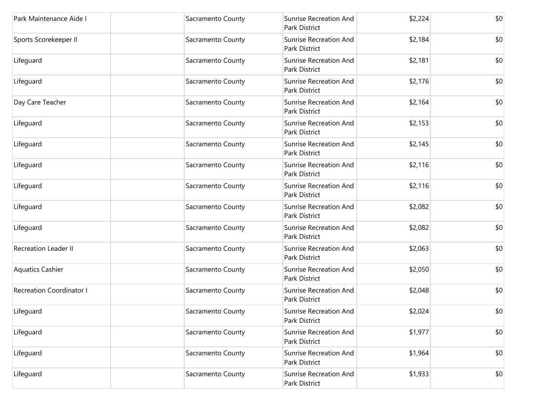| Park Maintenance Aide I         | Sacramento County | Sunrise Recreation And<br>Park District        | \$2,224 | \$0 |
|---------------------------------|-------------------|------------------------------------------------|---------|-----|
| Sports Scorekeeper II           | Sacramento County | <b>Sunrise Recreation And</b><br>Park District | \$2,184 | \$0 |
| Lifeguard                       | Sacramento County | Sunrise Recreation And<br>Park District        | \$2,181 | \$0 |
| Lifeguard                       | Sacramento County | <b>Sunrise Recreation And</b><br>Park District | \$2,176 | \$0 |
| Day Care Teacher                | Sacramento County | Sunrise Recreation And<br>Park District        | \$2,164 | \$0 |
| Lifeguard                       | Sacramento County | <b>Sunrise Recreation And</b><br>Park District | \$2,153 | \$0 |
| Lifeguard                       | Sacramento County | Sunrise Recreation And<br>Park District        | \$2,145 | \$0 |
| Lifeguard                       | Sacramento County | Sunrise Recreation And<br>Park District        | \$2,116 | \$0 |
| Lifeguard                       | Sacramento County | Sunrise Recreation And<br>Park District        | \$2,116 | \$0 |
| Lifeguard                       | Sacramento County | <b>Sunrise Recreation And</b><br>Park District | \$2,082 | \$0 |
| Lifeguard                       | Sacramento County | <b>Sunrise Recreation And</b><br>Park District | \$2,082 | \$0 |
| <b>Recreation Leader II</b>     | Sacramento County | Sunrise Recreation And<br>Park District        | \$2,063 | \$0 |
| <b>Aquatics Cashier</b>         | Sacramento County | <b>Sunrise Recreation And</b><br>Park District | \$2,050 | \$0 |
| <b>Recreation Coordinator I</b> | Sacramento County | Sunrise Recreation And<br>Park District        | \$2,048 | \$0 |
| Lifeguard                       | Sacramento County | <b>Sunrise Recreation And</b><br>Park District | \$2,024 | \$0 |
| Lifeguard                       | Sacramento County | Sunrise Recreation And<br>Park District        | \$1,977 | \$0 |
| Lifeguard                       | Sacramento County | Sunrise Recreation And<br>Park District        | \$1,964 | \$0 |
| Lifeguard                       | Sacramento County | Sunrise Recreation And<br>Park District        | \$1,933 | \$0 |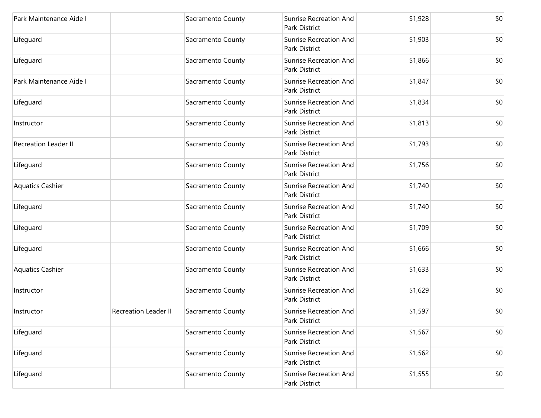| Park Maintenance Aide I     |                             | Sacramento County | <b>Sunrise Recreation And</b><br>Park District | \$1,928 | \$0 |
|-----------------------------|-----------------------------|-------------------|------------------------------------------------|---------|-----|
| Lifeguard                   |                             | Sacramento County | <b>Sunrise Recreation And</b><br>Park District | \$1,903 | \$0 |
| Lifeguard                   |                             | Sacramento County | <b>Sunrise Recreation And</b><br>Park District | \$1,866 | \$0 |
| Park Maintenance Aide I     |                             | Sacramento County | <b>Sunrise Recreation And</b><br>Park District | \$1,847 | \$0 |
| Lifeguard                   |                             | Sacramento County | <b>Sunrise Recreation And</b><br>Park District | \$1,834 | \$0 |
| Instructor                  |                             | Sacramento County | <b>Sunrise Recreation And</b><br>Park District | \$1,813 | \$0 |
| <b>Recreation Leader II</b> |                             | Sacramento County | <b>Sunrise Recreation And</b><br>Park District | \$1,793 | \$0 |
| Lifeguard                   |                             | Sacramento County | <b>Sunrise Recreation And</b><br>Park District | \$1,756 | \$0 |
| <b>Aquatics Cashier</b>     |                             | Sacramento County | <b>Sunrise Recreation And</b><br>Park District | \$1,740 | \$0 |
| Lifeguard                   |                             | Sacramento County | <b>Sunrise Recreation And</b><br>Park District | \$1,740 | \$0 |
| Lifeguard                   |                             | Sacramento County | <b>Sunrise Recreation And</b><br>Park District | \$1,709 | \$0 |
| Lifeguard                   |                             | Sacramento County | Sunrise Recreation And<br>Park District        | \$1,666 | \$0 |
| <b>Aquatics Cashier</b>     |                             | Sacramento County | <b>Sunrise Recreation And</b><br>Park District | \$1,633 | \$0 |
| Instructor                  |                             | Sacramento County | <b>Sunrise Recreation And</b><br>Park District | \$1,629 | \$0 |
| Instructor                  | <b>Recreation Leader II</b> | Sacramento County | <b>Sunrise Recreation And</b><br>Park District | \$1,597 | \$0 |
| Lifeguard                   |                             | Sacramento County | Sunrise Recreation And<br>Park District        | \$1,567 | \$0 |
| Lifeguard                   |                             | Sacramento County | <b>Sunrise Recreation And</b><br>Park District | \$1,562 | \$0 |
| Lifeguard                   |                             | Sacramento County | Sunrise Recreation And<br>Park District        | \$1,555 | \$0 |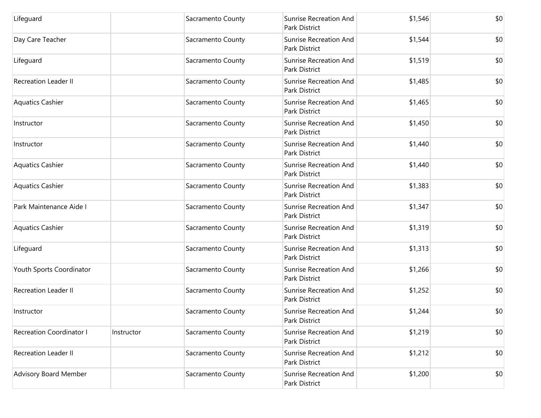| Lifeguard                       |            | Sacramento County | <b>Sunrise Recreation And</b><br>Park District        | \$1,546 | \$0 |
|---------------------------------|------------|-------------------|-------------------------------------------------------|---------|-----|
| Day Care Teacher                |            | Sacramento County | <b>Sunrise Recreation And</b><br>Park District        | \$1,544 | \$0 |
| Lifeguard                       |            | Sacramento County | <b>Sunrise Recreation And</b><br><b>Park District</b> | \$1,519 | \$0 |
| <b>Recreation Leader II</b>     |            | Sacramento County | <b>Sunrise Recreation And</b><br>Park District        | \$1,485 | \$0 |
| <b>Aquatics Cashier</b>         |            | Sacramento County | <b>Sunrise Recreation And</b><br>Park District        | \$1,465 | \$0 |
| Instructor                      |            | Sacramento County | <b>Sunrise Recreation And</b><br>Park District        | \$1,450 | \$0 |
| Instructor                      |            | Sacramento County | <b>Sunrise Recreation And</b><br>Park District        | \$1,440 | \$0 |
| <b>Aquatics Cashier</b>         |            | Sacramento County | <b>Sunrise Recreation And</b><br>Park District        | \$1,440 | \$0 |
| <b>Aquatics Cashier</b>         |            | Sacramento County | <b>Sunrise Recreation And</b><br>Park District        | \$1,383 | \$0 |
| Park Maintenance Aide I         |            | Sacramento County | <b>Sunrise Recreation And</b><br>Park District        | \$1,347 | \$0 |
| <b>Aquatics Cashier</b>         |            | Sacramento County | <b>Sunrise Recreation And</b><br>Park District        | \$1,319 | \$0 |
| Lifeguard                       |            | Sacramento County | <b>Sunrise Recreation And</b><br>Park District        | \$1,313 | \$0 |
| Youth Sports Coordinator        |            | Sacramento County | <b>Sunrise Recreation And</b><br>Park District        | \$1,266 | \$0 |
| <b>Recreation Leader II</b>     |            | Sacramento County | <b>Sunrise Recreation And</b><br>Park District        | \$1,252 | \$0 |
| Instructor                      |            | Sacramento County | Sunrise Recreation And<br>Park District               | \$1,244 | \$0 |
| <b>Recreation Coordinator I</b> | Instructor | Sacramento County | Sunrise Recreation And<br>Park District               | \$1,219 | \$0 |
| <b>Recreation Leader II</b>     |            | Sacramento County | <b>Sunrise Recreation And</b><br>Park District        | \$1,212 | \$0 |
| <b>Advisory Board Member</b>    |            | Sacramento County | Sunrise Recreation And<br>Park District               | \$1,200 | \$0 |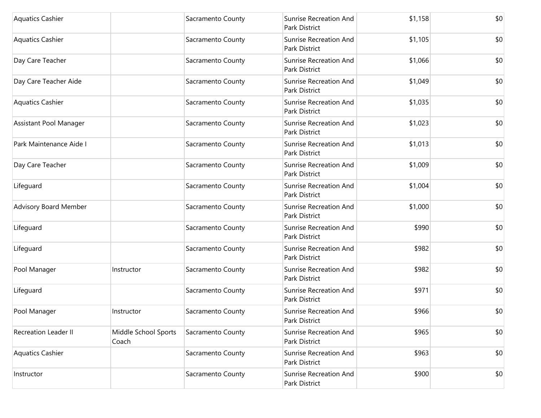| <b>Aquatics Cashier</b>      |                               | Sacramento County | Sunrise Recreation And<br>Park District        | \$1,158 | \$0 |
|------------------------------|-------------------------------|-------------------|------------------------------------------------|---------|-----|
| <b>Aquatics Cashier</b>      |                               | Sacramento County | Sunrise Recreation And<br>Park District        | \$1,105 | \$0 |
| Day Care Teacher             |                               | Sacramento County | Sunrise Recreation And<br>Park District        | \$1,066 | \$0 |
| Day Care Teacher Aide        |                               | Sacramento County | <b>Sunrise Recreation And</b><br>Park District | \$1,049 | \$0 |
| <b>Aquatics Cashier</b>      |                               | Sacramento County | Sunrise Recreation And<br>Park District        | \$1,035 | \$0 |
| Assistant Pool Manager       |                               | Sacramento County | Sunrise Recreation And<br>Park District        | \$1,023 | \$0 |
| Park Maintenance Aide I      |                               | Sacramento County | Sunrise Recreation And<br>Park District        | \$1,013 | \$0 |
| Day Care Teacher             |                               | Sacramento County | Sunrise Recreation And<br>Park District        | \$1,009 | \$0 |
| Lifeguard                    |                               | Sacramento County | Sunrise Recreation And<br>Park District        | \$1,004 | \$0 |
| <b>Advisory Board Member</b> |                               | Sacramento County | <b>Sunrise Recreation And</b><br>Park District | \$1,000 | \$0 |
| Lifeguard                    |                               | Sacramento County | Sunrise Recreation And<br>Park District        | \$990   | \$0 |
| Lifeguard                    |                               | Sacramento County | Sunrise Recreation And<br>Park District        | \$982   | \$0 |
| Pool Manager                 | Instructor                    | Sacramento County | Sunrise Recreation And<br>Park District        | \$982   | \$0 |
| Lifeguard                    |                               | Sacramento County | Sunrise Recreation And<br>Park District        | \$971   | \$0 |
| Pool Manager                 | Instructor                    | Sacramento County | <b>Sunrise Recreation And</b><br>Park District | \$966   | \$0 |
| <b>Recreation Leader II</b>  | Middle School Sports<br>Coach | Sacramento County | Sunrise Recreation And<br>Park District        | \$965   | \$0 |
| <b>Aquatics Cashier</b>      |                               | Sacramento County | <b>Sunrise Recreation And</b><br>Park District | \$963   | \$0 |
| Instructor                   |                               | Sacramento County | Sunrise Recreation And<br>Park District        | \$900   | \$0 |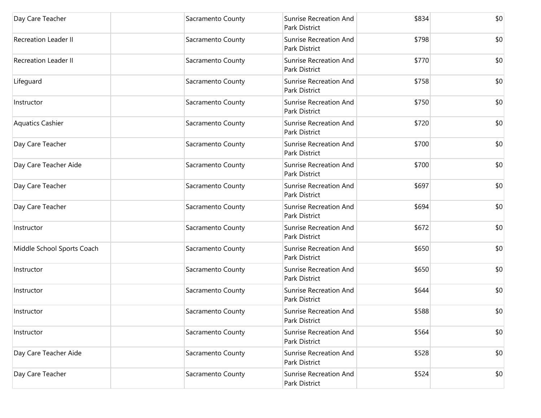| Day Care Teacher            | Sacramento County | <b>Sunrise Recreation And</b><br>Park District        | \$834 | \$0 |
|-----------------------------|-------------------|-------------------------------------------------------|-------|-----|
| <b>Recreation Leader II</b> | Sacramento County | <b>Sunrise Recreation And</b><br>Park District        | \$798 | \$0 |
| <b>Recreation Leader II</b> | Sacramento County | <b>Sunrise Recreation And</b><br>Park District        | \$770 | \$0 |
| Lifeguard                   | Sacramento County | <b>Sunrise Recreation And</b><br><b>Park District</b> | \$758 | \$0 |
| Instructor                  | Sacramento County | <b>Sunrise Recreation And</b><br>Park District        | \$750 | \$0 |
| <b>Aquatics Cashier</b>     | Sacramento County | <b>Sunrise Recreation And</b><br>Park District        | \$720 | \$0 |
| Day Care Teacher            | Sacramento County | <b>Sunrise Recreation And</b><br><b>Park District</b> | \$700 | \$0 |
| Day Care Teacher Aide       | Sacramento County | <b>Sunrise Recreation And</b><br>Park District        | \$700 | \$0 |
| Day Care Teacher            | Sacramento County | <b>Sunrise Recreation And</b><br>Park District        | \$697 | \$0 |
| Day Care Teacher            | Sacramento County | <b>Sunrise Recreation And</b><br>Park District        | \$694 | \$0 |
| Instructor                  | Sacramento County | <b>Sunrise Recreation And</b><br>Park District        | \$672 | \$0 |
| Middle School Sports Coach  | Sacramento County | Sunrise Recreation And<br>Park District               | \$650 | \$0 |
| Instructor                  | Sacramento County | <b>Sunrise Recreation And</b><br>Park District        | \$650 | \$0 |
| Instructor                  | Sacramento County | <b>Sunrise Recreation And</b><br>Park District        | \$644 | \$0 |
| Instructor                  | Sacramento County | <b>Sunrise Recreation And</b><br>Park District        | \$588 | \$0 |
| Instructor                  | Sacramento County | Sunrise Recreation And<br>Park District               | \$564 | \$0 |
| Day Care Teacher Aide       | Sacramento County | <b>Sunrise Recreation And</b><br>Park District        | \$528 | \$0 |
| Day Care Teacher            | Sacramento County | <b>Sunrise Recreation And</b><br>Park District        | \$524 | \$0 |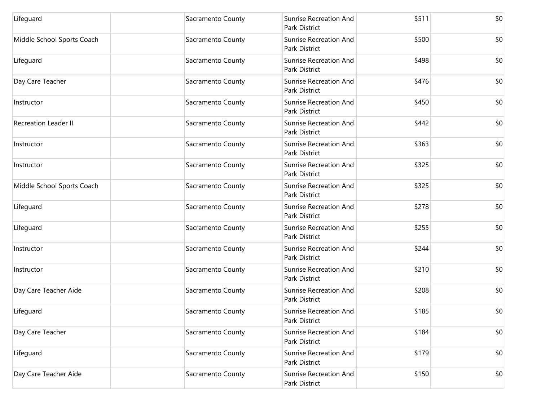| Lifeguard                   | Sacramento County | <b>Sunrise Recreation And</b><br>Park District | \$511 | \$0 |
|-----------------------------|-------------------|------------------------------------------------|-------|-----|
| Middle School Sports Coach  | Sacramento County | <b>Sunrise Recreation And</b><br>Park District | \$500 | \$0 |
| Lifeguard                   | Sacramento County | Sunrise Recreation And<br>Park District        | \$498 | \$0 |
| Day Care Teacher            | Sacramento County | <b>Sunrise Recreation And</b><br>Park District | \$476 | \$0 |
| Instructor                  | Sacramento County | <b>Sunrise Recreation And</b><br>Park District | \$450 | \$0 |
| <b>Recreation Leader II</b> | Sacramento County | Sunrise Recreation And<br>Park District        | \$442 | \$0 |
| Instructor                  | Sacramento County | Sunrise Recreation And<br>Park District        | \$363 | \$0 |
| Instructor                  | Sacramento County | Sunrise Recreation And<br>Park District        | \$325 | \$0 |
| Middle School Sports Coach  | Sacramento County | <b>Sunrise Recreation And</b><br>Park District | \$325 | \$0 |
| Lifeguard                   | Sacramento County | <b>Sunrise Recreation And</b><br>Park District | \$278 | \$0 |
| Lifeguard                   | Sacramento County | <b>Sunrise Recreation And</b><br>Park District | \$255 | \$0 |
| Instructor                  | Sacramento County | <b>Sunrise Recreation And</b><br>Park District | \$244 | \$0 |
| Instructor                  | Sacramento County | <b>Sunrise Recreation And</b><br>Park District | \$210 | \$0 |
| Day Care Teacher Aide       | Sacramento County | <b>Sunrise Recreation And</b><br>Park District | \$208 | \$0 |
| Lifeguard                   | Sacramento County | Sunrise Recreation And<br>Park District        | \$185 | \$0 |
| Day Care Teacher            | Sacramento County | Sunrise Recreation And<br>Park District        | \$184 | \$0 |
| Lifeguard                   | Sacramento County | <b>Sunrise Recreation And</b><br>Park District | \$179 | \$0 |
| Day Care Teacher Aide       | Sacramento County | Sunrise Recreation And<br>Park District        | \$150 | \$0 |